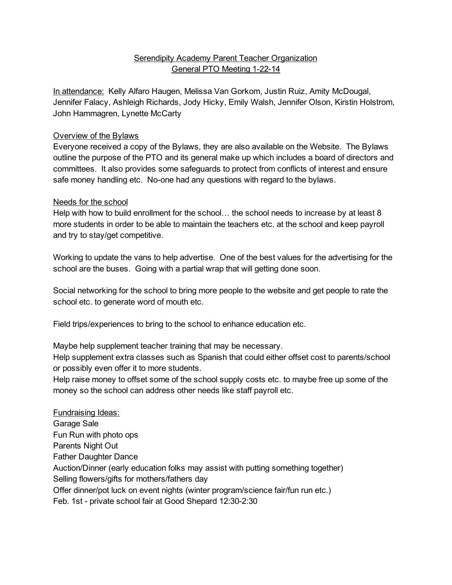## **Serendipity Academy Parent Teacher Organization** General PTO Meeting 1-22-14

In attendance: Kelly Alfaro Haugen, Melissa Van Gorkom, Justin Ruiz, Amity McDougal, Jennifer Falacy, Ashleigh Richards, Jody Hicky, Emily Walsh, Jennifer Olson, Kirstin Holstrom, John Hammagren, Lynette McCarty

## Overview of the Bylaws

Everyone received a copy of the Bylaws, they are also available on the Website. The Bylaws outline the purpose of the PTO and its general make up which includes a board of directors and committees. It also provides some safeguards to protect from conflicts of interest and ensure safe money handling etc. No-one had any questions with regard to the bylaws.

## Needs for the school

Help with how to build enrollment for the school… the school needs to increase by at least 8 more students in order to be able to maintain the teachers etc. at the school and keep payroll and try to stay/get competitive.

Working to update the vans to help advertise. One of the best values for the advertising for the school are the buses. Going with a partial wrap that will getting done soon.

Social networking for the school to bring more people to the website and get people to rate the school etc. to generate word of mouth etc.

Field trips/experiences to bring to the school to enhance education etc.

Maybe help supplement teacher training that may be necessary.

Help supplement extra classes such as Spanish that could either offset cost to parents/school or possibly even offer it to more students.

Help raise money to offset some of the school supply costs etc. to maybe free up some of the money so the school can address other needs like staff payroll etc.

Fundraising Ideas: Garage Sale Fun Run with photo ops Parents Night Out Father Daughter Dance Auction/Dinner (early education folks may assist with putting something together) Selling flowers/gifts for mothers/fathers day Offer dinner/pot luck on event nights (winter program/science fair/fun run etc.) Feb. 1st - private school fair at Good Shepard 12:30-2:30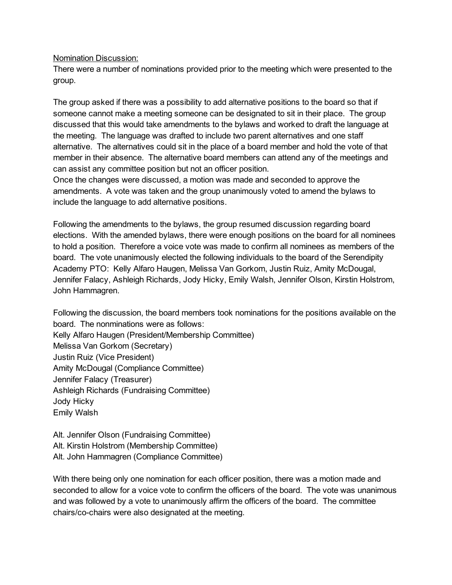Nomination Discussion:

There were a number of nominations provided prior to the meeting which were presented to the group.

The group asked if there was a possibility to add alternative positions to the board so that if someone cannot make a meeting someone can be designated to sit in their place. The group discussed that this would take amendments to the bylaws and worked to draft the language at the meeting. The language was drafted to include two parent alternatives and one staff alternative. The alternatives could sit in the place of a board member and hold the vote of that member in their absence. The alternative board members can attend any of the meetings and can assist any committee position but not an officer position.

Once the changes were discussed, a motion was made and seconded to approve the amendments. A vote was taken and the group unanimously voted to amend the bylaws to include the language to add alternative positions.

Following the amendments to the bylaws, the group resumed discussion regarding board elections. With the amended bylaws, there were enough positions on the board for all nominees to hold a position. Therefore a voice vote was made to confirm all nominees as members of the board. The vote unanimously elected the following individuals to the board of the Serendipity Academy PTO: Kelly Alfaro Haugen, Melissa Van Gorkom, Justin Ruiz, Amity McDougal, Jennifer Falacy, Ashleigh Richards, Jody Hicky, Emily Walsh, Jennifer Olson, Kirstin Holstrom, John Hammagren.

Following the discussion, the board members took nominations for the positions available on the board. The nonminations were as follows: Kelly Alfaro Haugen (President/Membership Committee) Melissa Van Gorkom (Secretary) Justin Ruiz (Vice President) Amity McDougal (Compliance Committee) Jennifer Falacy (Treasurer) Ashleigh Richards (Fundraising Committee) Jody Hicky Emily Walsh

Alt. Jennifer Olson (Fundraising Committee) Alt. Kirstin Holstrom (Membership Committee) Alt. John Hammagren (Compliance Committee)

With there being only one nomination for each officer position, there was a motion made and seconded to allow for a voice vote to confirm the officers of the board. The vote was unanimous and was followed by a vote to unanimously affirm the officers of the board. The committee chairs/co-chairs were also designated at the meeting.